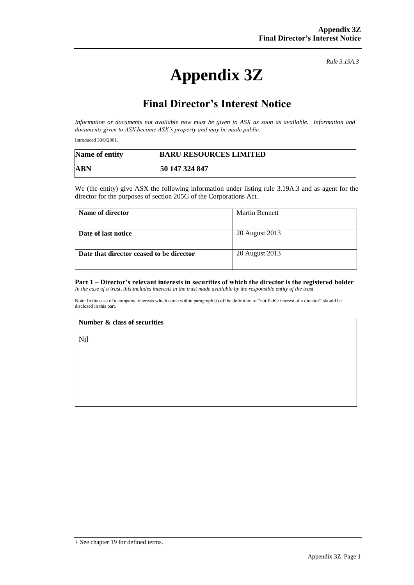# **Appendix 3Z**

*Rule 3.19A.3*

## **Final Director's Interest Notice**

*Information or documents not available now must be given to ASX as soon as available. Information and documents given to ASX become ASX's property and may be made public.*

Introduced 30/9/2001.

| Name of entity | <b>BARU RESOURCES LIMITED</b> |
|----------------|-------------------------------|
| <b>ABN</b>     | 50 147 324 847                |

We (the entity) give ASX the following information under listing rule 3.19A.3 and as agent for the director for the purposes of section 205G of the Corporations Act.

| Name of director                         | <b>Martin Bennett</b> |
|------------------------------------------|-----------------------|
| Date of last notice                      | 20 August 2013        |
| Date that director ceased to be director | 20 August 2013        |

#### **Part 1 – Director's relevant interests in securities of which the director is the registered holder** *In the case of a trust, this includes interests in the trust made available by the responsible entity of the trust*

Note: In the case of a company, interests which come within paragraph (i) of the definition of "notifiable interest of a director" should be disclosed in this part.

#### **Number & class of securities**

Nil

<sup>+</sup> See chapter 19 for defined terms.